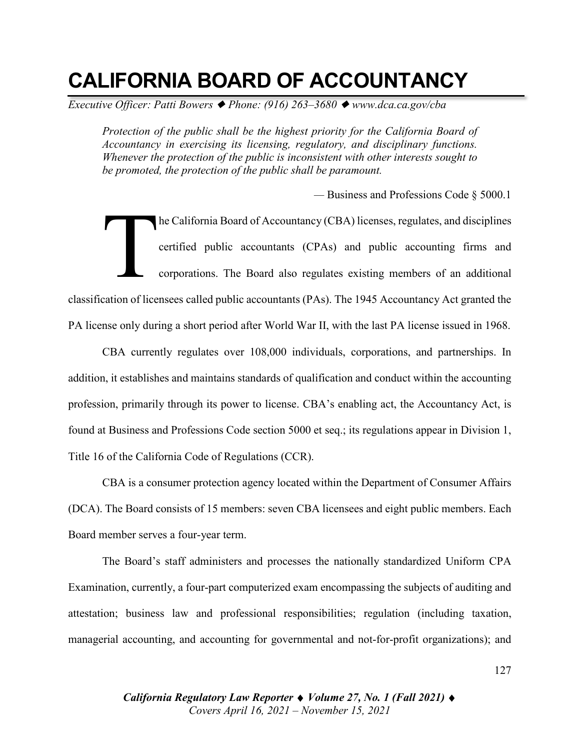# **CALIFORNIA BOARD OF ACCOUNTANCY**

*Executive Officer: Patti Bowers* ◆ *Phone: (916) 263–3680* ◆ *www.dca.ca.gov/cba* 

*Protection of the public shall be the highest priority for the California Board of Accountancy in exercising its licensing, regulatory, and disciplinary functions. Whenever the protection of the public is inconsistent with other interests sought to be promoted, the protection of the public shall be paramount.*

*—* Business and Professions Code § 5000.1

he California Board of Accountancy (CBA) licenses, regulates, and disciplines certified public accountants (CPAs) and public accounting firms and corporations. The Board also regulates existing members of an additional classification of licensees called public accountants (PAs). The 1945 Accountancy Act granted the PA license only during a short period after World War II, with the last PA license issued in 1968. T

CBA currently regulates over 108,000 individuals, corporations, and partnerships. In addition, it establishes and maintains standards of qualification and conduct within the accounting profession, primarily through its power to license. CBA's enabling act, the Accountancy Act, is found at Business and Professions Code section 5000 et seq.; its regulations appear in Division 1, Title 16 of the California Code of Regulations (CCR).

CBA is a consumer protection agency located within the Department of Consumer Affairs (DCA). The Board consists of 15 members: seven CBA licensees and eight public members. Each Board member serves a four-year term.

The Board's staff administers and processes the nationally standardized Uniform CPA Examination, currently, a four-part computerized exam encompassing the subjects of auditing and attestation; business law and professional responsibilities; regulation (including taxation, managerial accounting, and accounting for governmental and not-for-profit organizations); and

> *California Regulatory Law Reporter* ♦ *Volume 27, No. 1 (Fall 2021)* ♦ *Covers April 16, 2021 – November 15, 2021*

127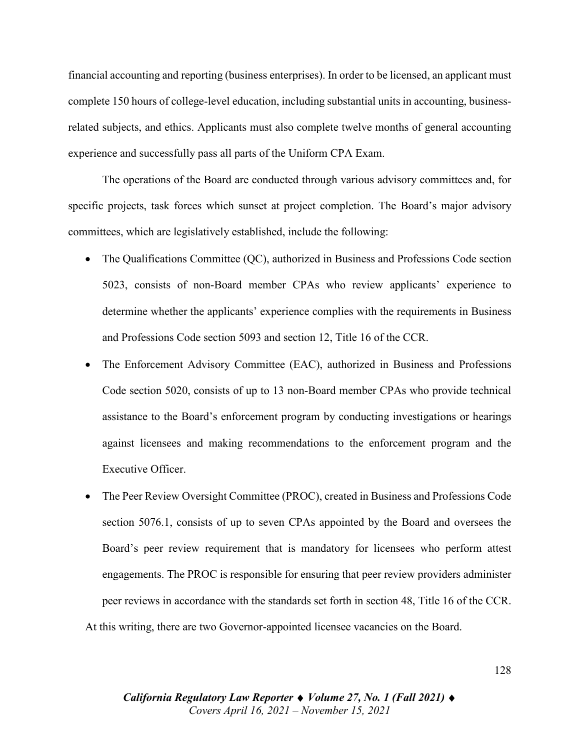financial accounting and reporting (business enterprises). In order to be licensed, an applicant must complete 150 hours of college-level education, including substantial units in accounting, businessrelated subjects, and ethics. Applicants must also complete twelve months of general accounting experience and successfully pass all parts of the Uniform CPA Exam.

The operations of the Board are conducted through various advisory committees and, for specific projects, task forces which sunset at project completion. The Board's major advisory committees, which are legislatively established, include the following:

- The Qualifications Committee (QC), authorized in Business and Professions Code section 5023, consists of non-Board member CPAs who review applicants' experience to determine whether the applicants' experience complies with the requirements in Business and Professions Code section 5093 and section 12, Title 16 of the CCR.
- The Enforcement Advisory Committee (EAC), authorized in Business and Professions Code section 5020, consists of up to 13 non-Board member CPAs who provide technical assistance to the Board's enforcement program by conducting investigations or hearings against licensees and making recommendations to the enforcement program and the Executive Officer.
- The Peer Review Oversight Committee (PROC), created in Business and Professions Code section 5076.1, consists of up to seven CPAs appointed by the Board and oversees the Board's peer review requirement that is mandatory for licensees who perform attest engagements. The PROC is responsible for ensuring that peer review providers administer peer reviews in accordance with the standards set forth in section 48, Title 16 of the CCR. At this writing, there are two Governor-appointed licensee vacancies on the Board.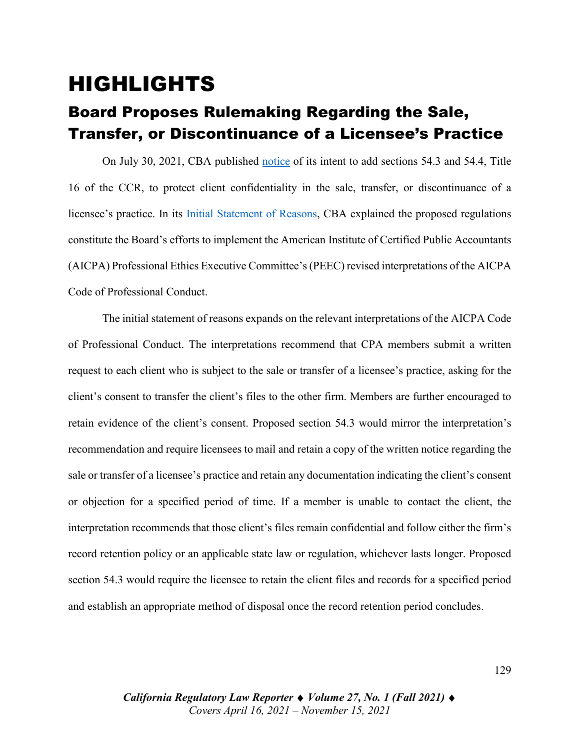### HIGHLIGHTS

### Board Proposes Rulemaking Regarding the Sale, Transfer, or Discontinuance of a Licensee's Practice

On July 30, 2021, CBA published [notice](https://perma.cc/BFM4-RNHN) of its intent to add sections 54.3 and 54.4, Title 16 of the CCR, to protect client confidentiality in the sale, transfer, or discontinuance of a licensee's practice. In its [Initial Statement of Reasons,](https://perma.cc/8FS3-D4V5) CBA explained the proposed regulations constitute the Board's efforts to implement the American Institute of Certified Public Accountants (AICPA) Professional Ethics Executive Committee's (PEEC) revised interpretations of the AICPA Code of Professional Conduct.

The initial statement of reasons expands on the relevant interpretations of the AICPA Code of Professional Conduct. The interpretations recommend that CPA members submit a written request to each client who is subject to the sale or transfer of a licensee's practice, asking for the client's consent to transfer the client's files to the other firm. Members are further encouraged to retain evidence of the client's consent. Proposed section 54.3 would mirror the interpretation's recommendation and require licensees to mail and retain a copy of the written notice regarding the sale or transfer of a licensee's practice and retain any documentation indicating the client's consent or objection for a specified period of time. If a member is unable to contact the client, the interpretation recommends that those client's files remain confidential and follow either the firm's record retention policy or an applicable state law or regulation, whichever lasts longer. Proposed section 54.3 would require the licensee to retain the client files and records for a specified period and establish an appropriate method of disposal once the record retention period concludes.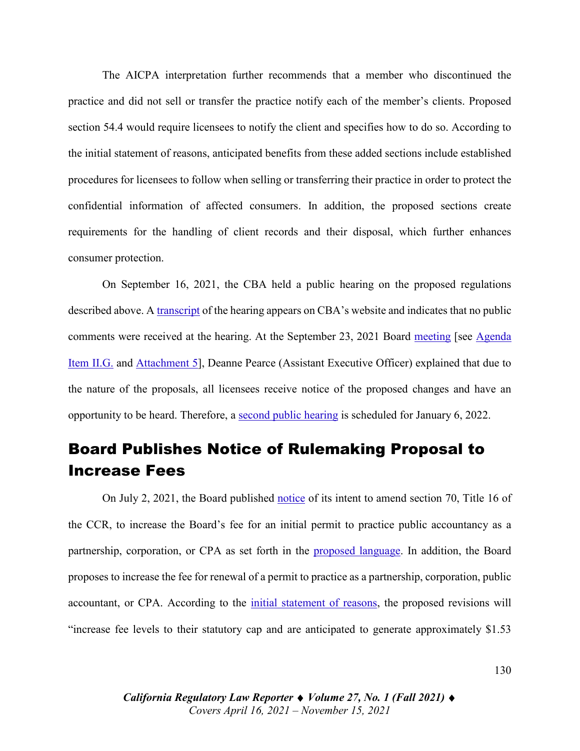The AICPA interpretation further recommends that a member who discontinued the practice and did not sell or transfer the practice notify each of the member's clients. Proposed section 54.4 would require licensees to notify the client and specifies how to do so. According to the initial statement of reasons, anticipated benefits from these added sections include established procedures for licensees to follow when selling or transferring their practice in order to protect the confidential information of affected consumers. In addition, the proposed sections create requirements for the handling of client records and their disposal, which further enhances consumer protection.

On September 16, 2021, the CBA held a public hearing on the proposed regulations described above. A [transcript](https://perma.cc/84WM-9ELM) of the hearing appears on CBA's website and indicates that no public comments were received at the hearing. At the September 23, 2021 Board [meeting](https://www.youtube.com/watch?v=iujCx_U32qw) [see [Agenda](https://perma.cc/4AZ6-653D)  [Item II.G.](https://perma.cc/4AZ6-653D) and [Attachment 5\]](https://drive.google.com/file/d/1-I_3shb_3HygZzf7rBfO4qtOwKILTLEJ/view?usp=sharing), Deanne Pearce (Assistant Executive Officer) explained that due to the nature of the proposals, all licensees receive notice of the proposed changes and have an opportunity to be heard. Therefore, a [second public hearing](https://perma.cc/6VV9-VHWM) is scheduled for January 6, 2022.

#### Board Publishes Notice of Rulemaking Proposal to Increase Fees

On July 2, 2021, the Board published [notice](https://perma.cc/K3X5-YJCJ) of its intent to amend section 70, Title 16 of the CCR, to increase the Board's fee for an initial permit to practice public accountancy as a partnership, corporation, or CPA as set forth in the [proposed language.](https://perma.cc/9AG8-QTB3) In addition, the Board proposes to increase the fee for renewal of a permit to practice as a partnership, corporation, public accountant, or CPA. According to the [initial statement of reasons,](https://perma.cc/M5DV-DJ5F) the proposed revisions will "increase fee levels to their statutory cap and are anticipated to generate approximately \$1.53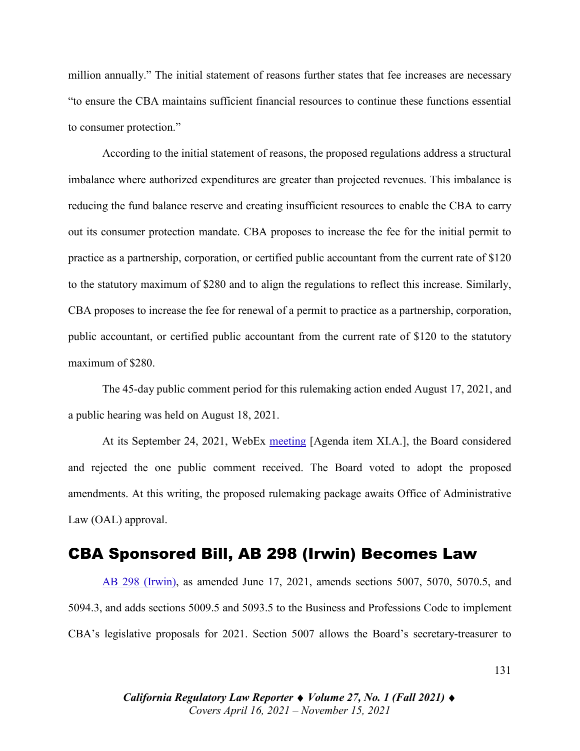million annually." The initial statement of reasons further states that fee increases are necessary "to ensure the CBA maintains sufficient financial resources to continue these functions essential to consumer protection."

According to the initial statement of reasons, the proposed regulations address a structural imbalance where authorized expenditures are greater than projected revenues. This imbalance is reducing the fund balance reserve and creating insufficient resources to enable the CBA to carry out its consumer protection mandate. CBA proposes to increase the fee for the initial permit to practice as a partnership, corporation, or certified public accountant from the current rate of \$120 to the statutory maximum of \$280 and to align the regulations to reflect this increase. Similarly, CBA proposes to increase the fee for renewal of a permit to practice as a partnership, corporation, public accountant, or certified public accountant from the current rate of \$120 to the statutory maximum of \$280.

The 45-day public comment period for this rulemaking action ended August 17, 2021, and a public hearing was held on August 18, 2021.

At its September 24, 2021, WebEx [meeting](https://perma.cc/Q6ZV-D2K5) [Agenda item XI.A.], the Board considered and rejected the one public comment received. The Board voted to adopt the proposed amendments. At this writing, the proposed rulemaking package awaits Office of Administrative Law (OAL) approval.

#### CBA Sponsored Bill, AB 298 (Irwin) Becomes Law

[AB 298 \(Irwin\),](https://leginfo.legislature.ca.gov/faces/billNavClient.xhtml?bill_id=202120220AB298) as amended June 17, 2021, amends sections 5007, 5070, 5070.5, and 5094.3, and adds sections 5009.5 and 5093.5 to the Business and Professions Code to implement CBA's legislative proposals for 2021. Section 5007 allows the Board's secretary-treasurer to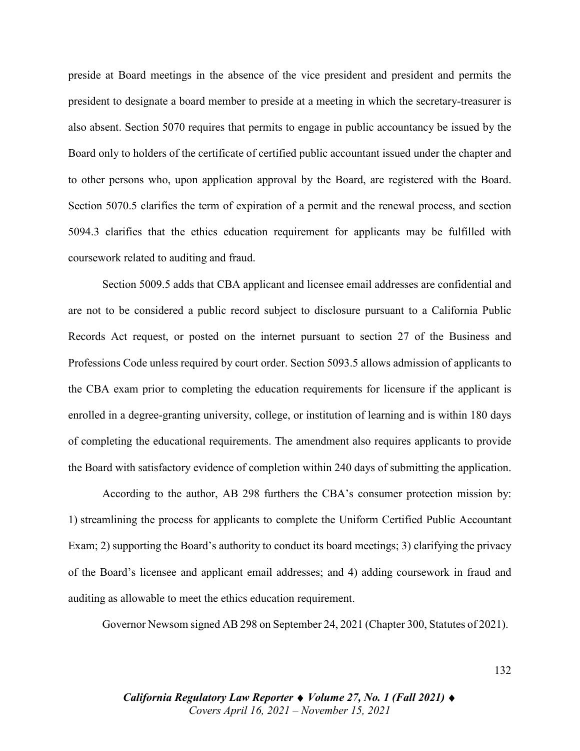preside at Board meetings in the absence of the vice president and president and permits the president to designate a board member to preside at a meeting in which the secretary-treasurer is also absent. Section 5070 requires that permits to engage in public accountancy be issued by the Board only to holders of the certificate of certified public accountant issued under the chapter and to other persons who, upon application approval by the Board, are registered with the Board. Section 5070.5 clarifies the term of expiration of a permit and the renewal process, and section 5094.3 clarifies that the ethics education requirement for applicants may be fulfilled with coursework related to auditing and fraud.

Section 5009.5 adds that CBA applicant and licensee email addresses are confidential and are not to be considered a public record subject to disclosure pursuant to a California Public Records Act request, or posted on the internet pursuant to section 27 of the Business and Professions Code unless required by court order. Section 5093.5 allows admission of applicants to the CBA exam prior to completing the education requirements for licensure if the applicant is enrolled in a degree-granting university, college, or institution of learning and is within 180 days of completing the educational requirements. The amendment also requires applicants to provide the Board with satisfactory evidence of completion within 240 days of submitting the application.

According to the author, AB 298 furthers the CBA's consumer protection mission by: 1) streamlining the process for applicants to complete the Uniform Certified Public Accountant Exam; 2) supporting the Board's authority to conduct its board meetings; 3) clarifying the privacy of the Board's licensee and applicant email addresses; and 4) adding coursework in fraud and auditing as allowable to meet the ethics education requirement.

Governor Newsom signed AB 298 on September 24, 2021 (Chapter 300, Statutes of 2021).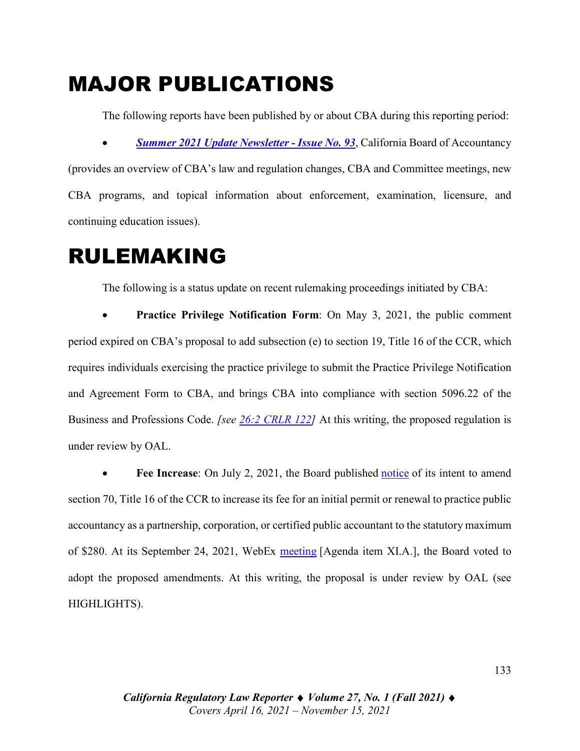# MAJOR PUBLICATIONS

The following reports have been published by or about CBA during this reporting period: • *[Summer 2021 Update Newsletter](https://perma.cc/2B4C-5SSM) - Issue No. 93*, California Board of Accountancy (provides an overview of CBA's law and regulation changes, CBA and Committee meetings, new CBA programs, and topical information about enforcement, examination, licensure, and continuing education issues).

### RULEMAKING

The following is a status update on recent rulemaking proceedings initiated by CBA:

**Practice Privilege Notification Form:** On May 3, 2021, the public comment period expired on CBA's proposal to add subsection (e) to section 19, Title 16 of the CCR, which requires individuals exercising the practice privilege to submit the Practice Privilege Notification and Agreement Form to CBA, and brings CBA into compliance with section 5096.22 of the Business and Professions Code. *[see [26:2 CRLR 122\]](https://digital.sandiego.edu/cgi/viewcontent.cgi?article=3093&context=crlr)* At this writing, the proposed regulation is under review by OAL.

• **Fee Increase**: On July 2, 2021, the Board published [notice](https://perma.cc/K3X5-YJCJ) of its intent to amend section 70, Title 16 of the CCR to increase its fee for an initial permit or renewal to practice public accountancy as a partnership, corporation, or certified public accountant to the statutory maximum of \$280. At its September 24, 2021, WebEx [meeting](https://perma.cc/Q6ZV-D2K5) [Agenda item XI.A.], the Board voted to adopt the proposed amendments. At this writing, the proposal is under review by OAL (see HIGHLIGHTS).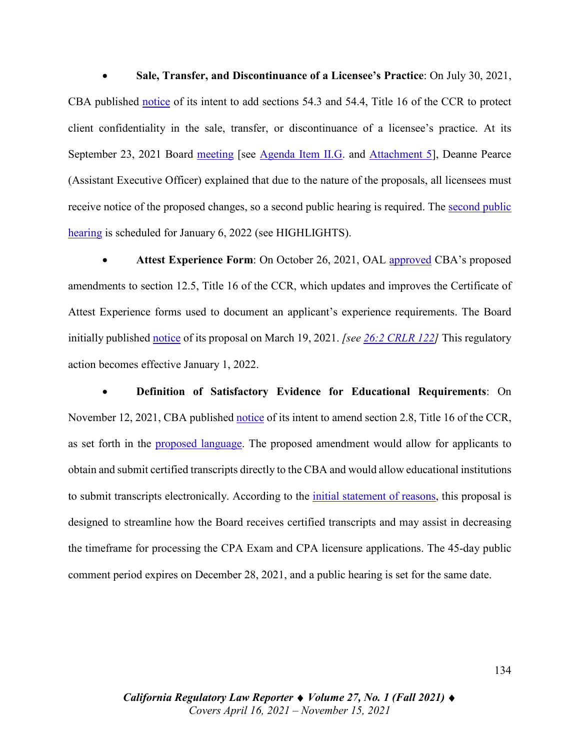• **Sale, Transfer, and Discontinuance of a Licensee's Practice**: On July 30, 2021, CBA published [notice](https://perma.cc/BFM4-RNHN) of its intent to add sections 54.3 and 54.4, Title 16 of the CCR to protect client confidentiality in the sale, transfer, or discontinuance of a licensee's practice. At its September 23, 2021 Board [meeting](https://perma.cc/2RW3-GSLE) [see [Agenda Item II.G.](https://perma.cc/4AZ6-653D) and [Attachment 5\]](https://drive.google.com/file/d/1gUigxqzbMlRFO6rE9cLwEF_oD1wnliOz/view?usp=sharing), Deanne Pearce (Assistant Executive Officer) explained that due to the nature of the proposals, all licensees must receive notice of the proposed changes, so a second public hearing is required. The [second public](https://perma.cc/6VV9-VHWM)  [hearing](https://perma.cc/6VV9-VHWM) is scheduled for January 6, 2022 (see HIGHLIGHTS).

• **Attest Experience Form**: On October 26, 2021, OAL [approved](https://perma.cc/S57M-RF4H) CBA's proposed amendments to section 12.5, Title 16 of the CCR, which updates and improves the Certificate of Attest Experience forms used to document an applicant's experience requirements. The Board initially published [notice](https://perma.cc/HD66-A7JV) of its proposal on March 19, 2021. *[\[see 26:2 CRLR 122\]](https://digital.sandiego.edu/cgi/viewcontent.cgi?article=3093&context=crlr)* This regulatory action becomes effective January 1, 2022.

• **Definition of Satisfactory Evidence for Educational Requirements**: On November 12, 2021, CBA published [notice](https://perma.cc/N3Q5-S6VN) of its intent to amend section 2.8, Title 16 of the CCR, as set forth in the [proposed language.](https://perma.cc/25N3-4ZUH) The proposed amendment would allow for applicants to obtain and submit certified transcripts directly to the CBA and would allow educational institutions to submit transcripts electronically. According to the [initial statement of reasons,](https://perma.cc/7ATZ-T297) this proposal is designed to streamline how the Board receives certified transcripts and may assist in decreasing the timeframe for processing the CPA Exam and CPA licensure applications. The 45-day public comment period expires on December 28, 2021, and a public hearing is set for the same date.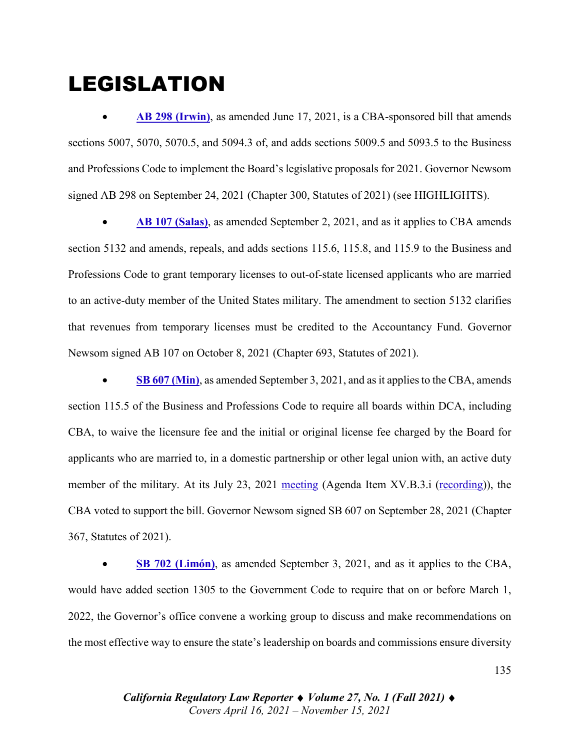## LEGISLATION

• **[AB 298 \(Irwin\)](https://leginfo.legislature.ca.gov/faces/billNavClient.xhtml?bill_id=202120220AB298)**, as amended June 17, 2021, is a CBA-sponsored bill that amends sections 5007, 5070, 5070.5, and 5094.3 of, and adds sections 5009.5 and 5093.5 to the Business and Professions Code to implement the Board's legislative proposals for 2021. Governor Newsom signed AB 298 on September 24, 2021 (Chapter 300, Statutes of 2021) (see HIGHLIGHTS).

• **[AB 107 \(Salas\)](https://leginfo.legislature.ca.gov/faces/billTextClient.xhtml?bill_id=202120220AB107)**, as amended September 2, 2021, and as it applies to CBA amends section 5132 and amends, repeals, and adds sections 115.6, 115.8, and 115.9 to the Business and Professions Code to grant temporary licenses to out-of-state licensed applicants who are married to an active-duty member of the United States military. The amendment to section 5132 clarifies that revenues from temporary licenses must be credited to the Accountancy Fund. Governor Newsom signed AB 107 on October 8, 2021 (Chapter 693, Statutes of 2021).

• **SB [607 \(Min\)](https://leginfo.legislature.ca.gov/faces/billTextClient.xhtml?bill_id=202120220SB607)**, as amended September 3, 2021, and as it applies to the CBA, amends section 115.5 of the Business and Professions Code to require all boards within DCA, including CBA, to waive the licensure fee and the initial or original license fee charged by the Board for applicants who are married to, in a domestic partnership or other legal union with, an active duty member of the military. At its July 23, 2021 [meeting](https://perma.cc/79PC-L8C6) (Agenda Item XV.B.3.i [\(recording\)](https://www.youtube.com/watch?v=Sr2GBzQXvto)), the CBA voted to support the bill. Governor Newsom signed SB 607 on September 28, 2021 (Chapter 367, Statutes of 2021).

• **SB 702 [\(Limón\)](https://leginfo.legislature.ca.gov/faces/billTextClient.xhtml?bill_id=202120220SB702)**, as amended September 3, 2021, and as it applies to the CBA, would have added section 1305 to the Government Code to require that on or before March 1, 2022, the Governor's office convene a working group to discuss and make recommendations on the most effective way to ensure the state's leadership on boards and commissions ensure diversity

> *California Regulatory Law Reporter* ♦ *Volume 27, No. 1 (Fall 2021)* ♦ *Covers April 16, 2021 – November 15, 2021*

135